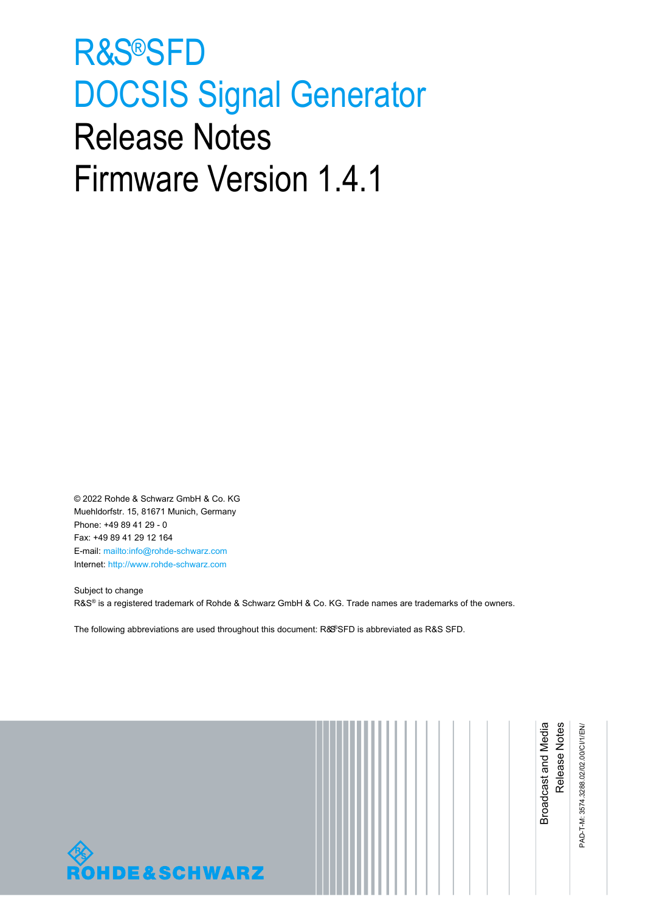# <span id="page-0-0"></span>R&S®SFD DOCSIS Signal Generator Release Notes Firmware Version 1.4.1

© 2022 Rohde & Schwarz GmbH & Co. KG Muehldorfstr. 15, 81671 Munich, Germany Phone: +49 89 41 29 - 0 Fax: +49 89 41 29 12 164 E-mail[: mailto:info@rohde-schwarz.com](mailto:info@rohde-schwarz.com) Internet: [http://www.rohde-schwarz.com](http://www.rohde-schwarz.com/)

Subject to change R&S® is a registered trademark of Rohde & Schwarz GmbH & Co. KG. Trade names are trademarks of the owners.

The following abbreviations are used throughout this document: R&SSFD is abbreviated as R&[S SFD.](#page-0-0)



|  | Broadcast and Media | Release<br>Notes | PAD-T-M: 3574.3288.02/02.00/CI/1/EN/ |
|--|---------------------|------------------|--------------------------------------|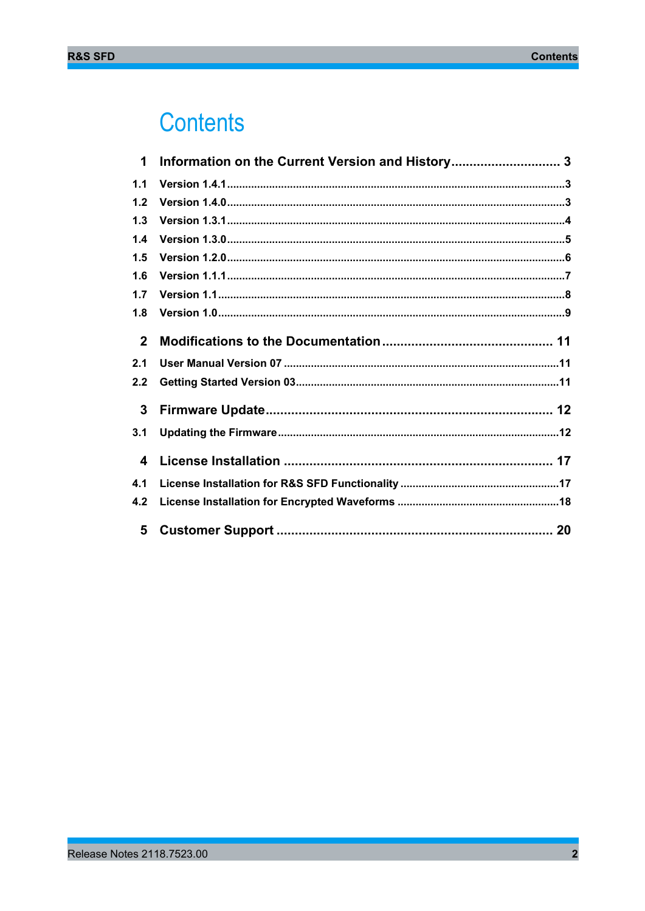## **Contents**

| $\mathbf 1$  | Information on the Current Version and History 3 |
|--------------|--------------------------------------------------|
| 1.1          |                                                  |
| $1.2$        |                                                  |
| 1.3          |                                                  |
| 1.4          |                                                  |
| 1.5          |                                                  |
| 1.6          |                                                  |
| 1.7          |                                                  |
| 1.8          |                                                  |
| $\mathbf{2}$ |                                                  |
| 2.1          |                                                  |
| 2.2          |                                                  |
| $\mathbf{3}$ |                                                  |
| 3.1          |                                                  |
| 4            |                                                  |
| 4.1          |                                                  |
| 4.2          |                                                  |
| 5            |                                                  |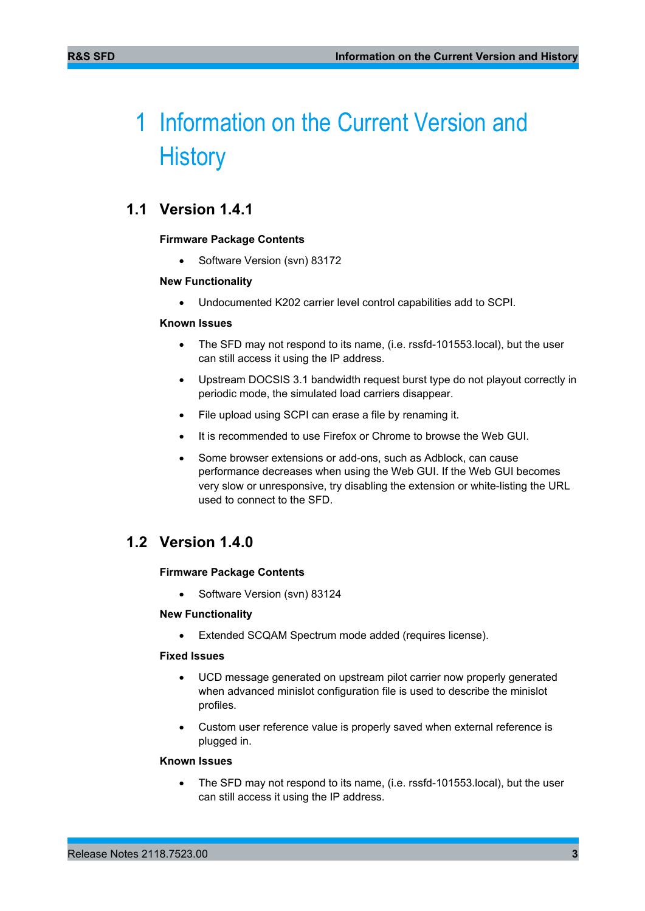## <span id="page-2-0"></span>1 Information on the Current Version and **History**

## <span id="page-2-1"></span>**1.1 Version 1.4.1**

#### **Firmware Package Contents**

• Software Version (svn) 83172

#### **New Functionality**

• Undocumented K202 carrier level control capabilities add to SCPI.

#### **Known Issues**

- The SFD may not respond to its name, (i.e. rssfd-101553.local), but the user can still access it using the IP address.
- Upstream DOCSIS 3.1 bandwidth request burst type do not playout correctly in periodic mode, the simulated load carriers disappear.
- File upload using SCPI can erase a file by renaming it.
- It is recommended to use Firefox or Chrome to browse the Web GUI.
- Some browser extensions or add-ons, such as Adblock, can cause performance decreases when using the Web GUI. If the Web GUI becomes very slow or unresponsive, try disabling the extension or white-listing the URL used to connect to the SFD.

### <span id="page-2-2"></span>**1.2 Version 1.4.0**

#### **Firmware Package Contents**

• Software Version (svn) 83124

#### **New Functionality**

Extended SCQAM Spectrum mode added (requires license).

#### **Fixed Issues**

- UCD message generated on upstream pilot carrier now properly generated when advanced minislot configuration file is used to describe the minislot profiles.
- Custom user reference value is properly saved when external reference is plugged in.

#### **Known Issues**

• The SFD may not respond to its name, (i.e. rssfd-101553.local), but the user can still access it using the IP address.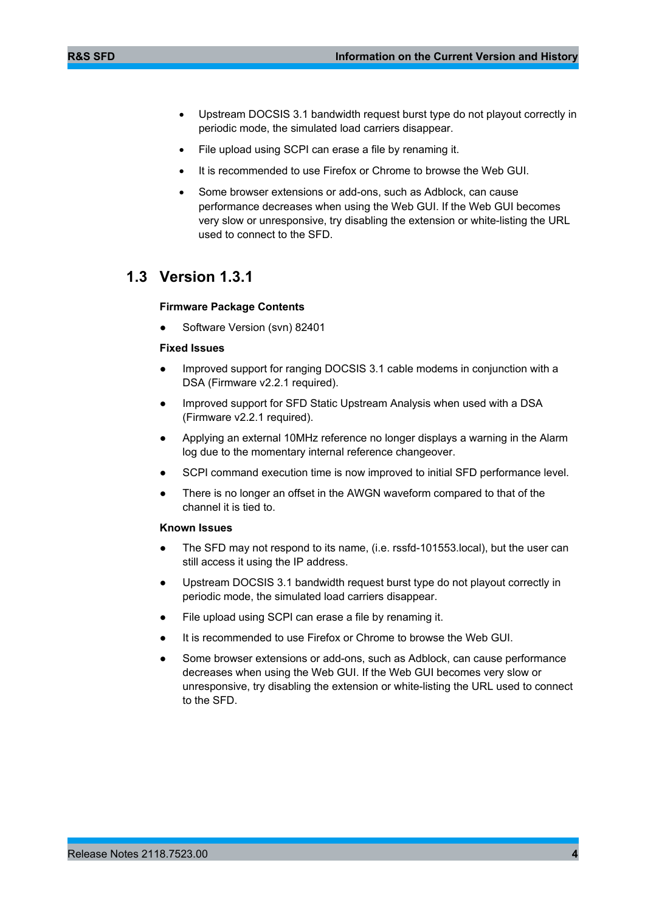- Upstream DOCSIS 3.1 bandwidth request burst type do not playout correctly in periodic mode, the simulated load carriers disappear.
- File upload using SCPI can erase a file by renaming it.
- It is recommended to use Firefox or Chrome to browse the Web GUI.
- Some browser extensions or add-ons, such as Adblock, can cause performance decreases when using the Web GUI. If the Web GUI becomes very slow or unresponsive, try disabling the extension or white-listing the URL used to connect to the SFD.

### <span id="page-3-0"></span>**1.3 Version 1.3.1**

#### **Firmware Package Contents**

Software Version (svn) 82401

#### **Fixed Issues**

- Improved support for ranging DOCSIS 3.1 cable modems in conjunction with a DSA (Firmware v2.2.1 required).
- Improved support for SFD Static Upstream Analysis when used with a DSA (Firmware v2.2.1 required).
- Applying an external 10MHz reference no longer displays a warning in the Alarm log due to the momentary internal reference changeover.
- SCPI command execution time is now improved to initial SFD performance level.
- There is no longer an offset in the AWGN waveform compared to that of the channel it is tied to.

- The SFD may not respond to its name, (i.e. rssfd-101553.local), but the user can still access it using the IP address.
- Upstream DOCSIS 3.1 bandwidth request burst type do not playout correctly in periodic mode, the simulated load carriers disappear.
- File upload using SCPI can erase a file by renaming it.
- It is recommended to use Firefox or Chrome to browse the Web GUI.
- Some browser extensions or add-ons, such as Adblock, can cause performance decreases when using the Web GUI. If the Web GUI becomes very slow or unresponsive, try disabling the extension or white-listing the URL used to connect to the SFD.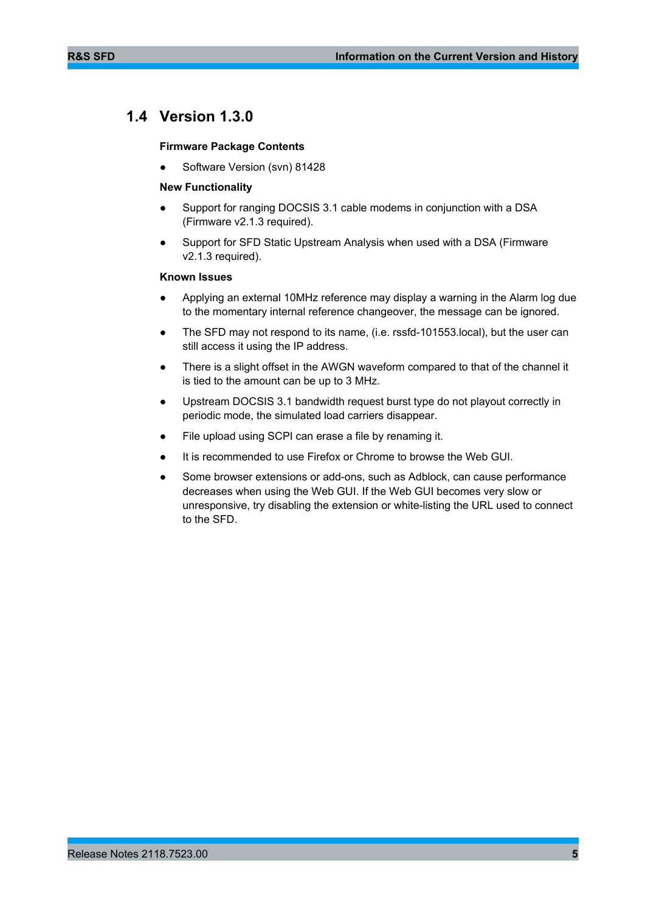## <span id="page-4-0"></span>**1.4 Version 1.3.0**

#### **Firmware Package Contents**

Software Version (svn) 81428

#### **New Functionality**

- Support for ranging DOCSIS 3.1 cable modems in conjunction with a DSA (Firmware v2.1.3 required).
- Support for SFD Static Upstream Analysis when used with a DSA (Firmware v2.1.3 required).

- Applying an external 10MHz reference may display a warning in the Alarm log due to the momentary internal reference changeover, the message can be ignored.
- The SFD may not respond to its name, (i.e. rssfd-101553.local), but the user can still access it using the IP address.
- There is a slight offset in the AWGN waveform compared to that of the channel it is tied to the amount can be up to 3 MHz.
- Upstream DOCSIS 3.1 bandwidth request burst type do not playout correctly in periodic mode, the simulated load carriers disappear.
- File upload using SCPI can erase a file by renaming it.
- It is recommended to use Firefox or Chrome to browse the Web GUI.
- Some browser extensions or add-ons, such as Adblock, can cause performance decreases when using the Web GUI. If the Web GUI becomes very slow or unresponsive, try disabling the extension or white-listing the URL used to connect to the SFD.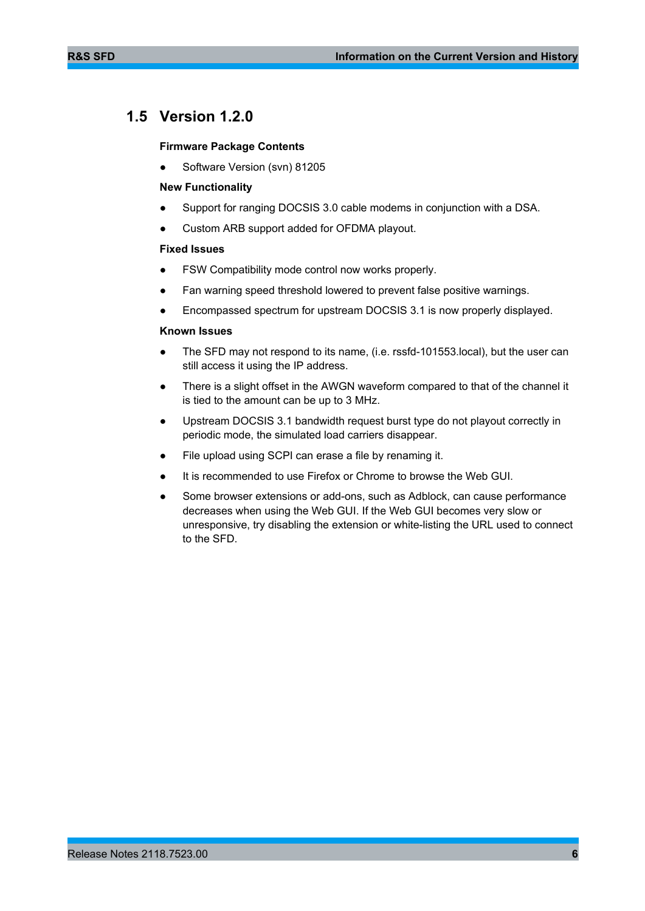## <span id="page-5-0"></span>**1.5 Version 1.2.0**

#### **Firmware Package Contents**

Software Version (svn) 81205

#### **New Functionality**

- Support for ranging DOCSIS 3.0 cable modems in conjunction with a DSA.
- Custom ARB support added for OFDMA playout.

#### **Fixed Issues**

- FSW Compatibility mode control now works properly.
- Fan warning speed threshold lowered to prevent false positive warnings.
- Encompassed spectrum for upstream DOCSIS 3.1 is now properly displayed.

- The SFD may not respond to its name, (i.e. rssfd-101553.local), but the user can still access it using the IP address.
- There is a slight offset in the AWGN waveform compared to that of the channel it is tied to the amount can be up to 3 MHz.
- Upstream DOCSIS 3.1 bandwidth request burst type do not playout correctly in periodic mode, the simulated load carriers disappear.
- File upload using SCPI can erase a file by renaming it.
- It is recommended to use Firefox or Chrome to browse the Web GUI.
- Some browser extensions or add-ons, such as Adblock, can cause performance decreases when using the Web GUI. If the Web GUI becomes very slow or unresponsive, try disabling the extension or white-listing the URL used to connect to the SFD.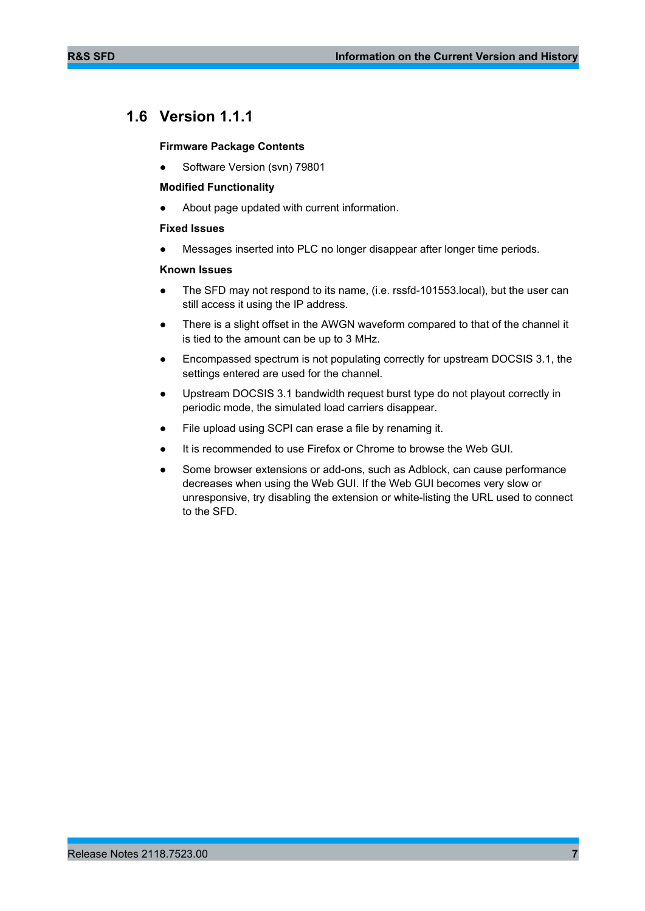## <span id="page-6-0"></span>**1.6 Version 1.1.1**

#### **Firmware Package Contents**

Software Version (svn) 79801

#### **Modified Functionality**

About page updated with current information.

#### **Fixed Issues**

Messages inserted into PLC no longer disappear after longer time periods.

- The SFD may not respond to its name, (i.e. rssfd-101553.local), but the user can still access it using the IP address.
- There is a slight offset in the AWGN waveform compared to that of the channel it is tied to the amount can be up to 3 MHz.
- Encompassed spectrum is not populating correctly for upstream DOCSIS 3.1, the settings entered are used for the channel.
- Upstream DOCSIS 3.1 bandwidth request burst type do not playout correctly in periodic mode, the simulated load carriers disappear.
- File upload using SCPI can erase a file by renaming it.
- It is recommended to use Firefox or Chrome to browse the Web GUI.
- Some browser extensions or add-ons, such as Adblock, can cause performance decreases when using the Web GUI. If the Web GUI becomes very slow or unresponsive, try disabling the extension or white-listing the URL used to connect to the SFD.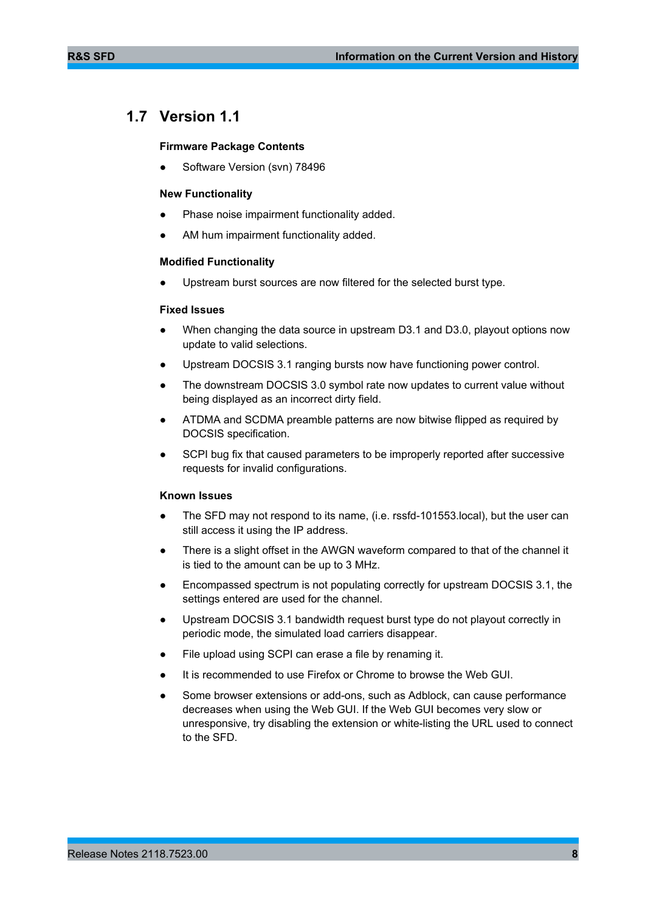## <span id="page-7-0"></span>**1.7 Version 1.1**

#### **Firmware Package Contents**

Software Version (svn) 78496

#### **New Functionality**

- Phase noise impairment functionality added.
- AM hum impairment functionality added.

#### **Modified Functionality**

Upstream burst sources are now filtered for the selected burst type.

#### **Fixed Issues**

- When changing the data source in upstream D3.1 and D3.0, playout options now update to valid selections.
- Upstream DOCSIS 3.1 ranging bursts now have functioning power control.
- The downstream DOCSIS 3.0 symbol rate now updates to current value without being displayed as an incorrect dirty field.
- ATDMA and SCDMA preamble patterns are now bitwise flipped as required by DOCSIS specification.
- SCPI bug fix that caused parameters to be improperly reported after successive requests for invalid configurations.

- The SFD may not respond to its name, (i.e. rssfd-101553.local), but the user can still access it using the IP address.
- There is a slight offset in the AWGN waveform compared to that of the channel it is tied to the amount can be up to 3 MHz.
- Encompassed spectrum is not populating correctly for upstream DOCSIS 3.1, the settings entered are used for the channel.
- Upstream DOCSIS 3.1 bandwidth request burst type do not playout correctly in periodic mode, the simulated load carriers disappear.
- File upload using SCPI can erase a file by renaming it.
- It is recommended to use Firefox or Chrome to browse the Web GUI.
- Some browser extensions or add-ons, such as Adblock, can cause performance decreases when using the Web GUI. If the Web GUI becomes very slow or unresponsive, try disabling the extension or white-listing the URL used to connect to the SFD.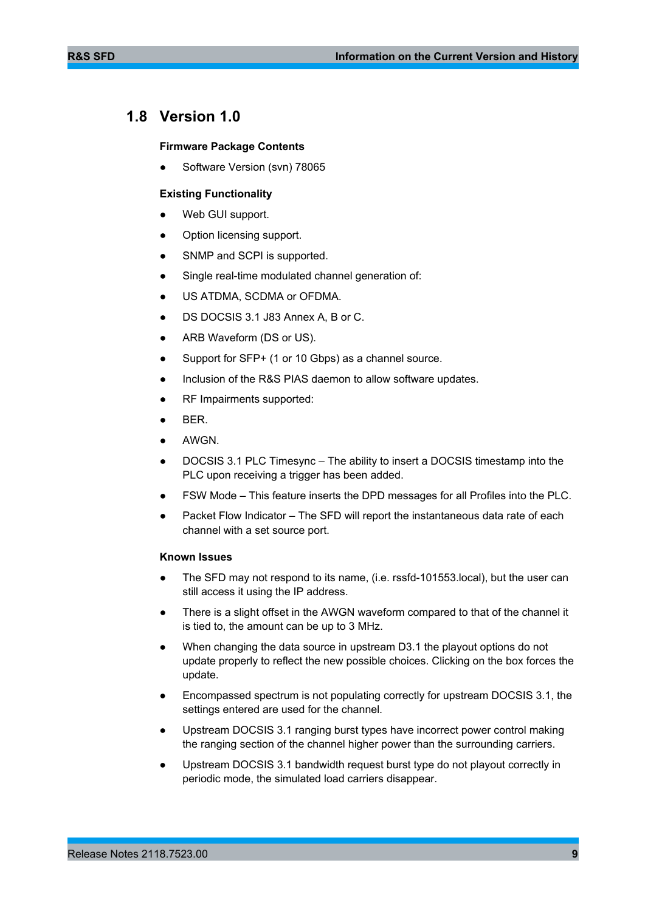## <span id="page-8-0"></span>**1.8 Version 1.0**

#### **Firmware Package Contents**

Software Version (svn) 78065

#### **Existing Functionality**

- Web GUI support.
- Option licensing support.
- SNMP and SCPI is supported.
- Single real-time modulated channel generation of:
- US ATDMA, SCDMA or OFDMA.
- DS DOCSIS 3.1 J83 Annex A, B or C.
- ARB Waveform (DS or US).
- Support for SFP+ (1 or 10 Gbps) as a channel source.
- Inclusion of the R&S PIAS daemon to allow software updates.
- RF Impairments supported:
- BER.
- AWGN.
- DOCSIS 3.1 PLC Timesync The ability to insert a DOCSIS timestamp into the PLC upon receiving a trigger has been added.
- FSW Mode This feature inserts the DPD messages for all Profiles into the PLC.
- Packet Flow Indicator The SFD will report the instantaneous data rate of each channel with a set source port.

- The SFD may not respond to its name, (i.e. rssfd-101553.local), but the user can still access it using the IP address.
- There is a slight offset in the AWGN waveform compared to that of the channel it is tied to, the amount can be up to 3 MHz.
- When changing the data source in upstream D3.1 the playout options do not update properly to reflect the new possible choices. Clicking on the box forces the update.
- Encompassed spectrum is not populating correctly for upstream DOCSIS 3.1, the settings entered are used for the channel.
- Upstream DOCSIS 3.1 ranging burst types have incorrect power control making the ranging section of the channel higher power than the surrounding carriers.
- Upstream DOCSIS 3.1 bandwidth request burst type do not playout correctly in periodic mode, the simulated load carriers disappear.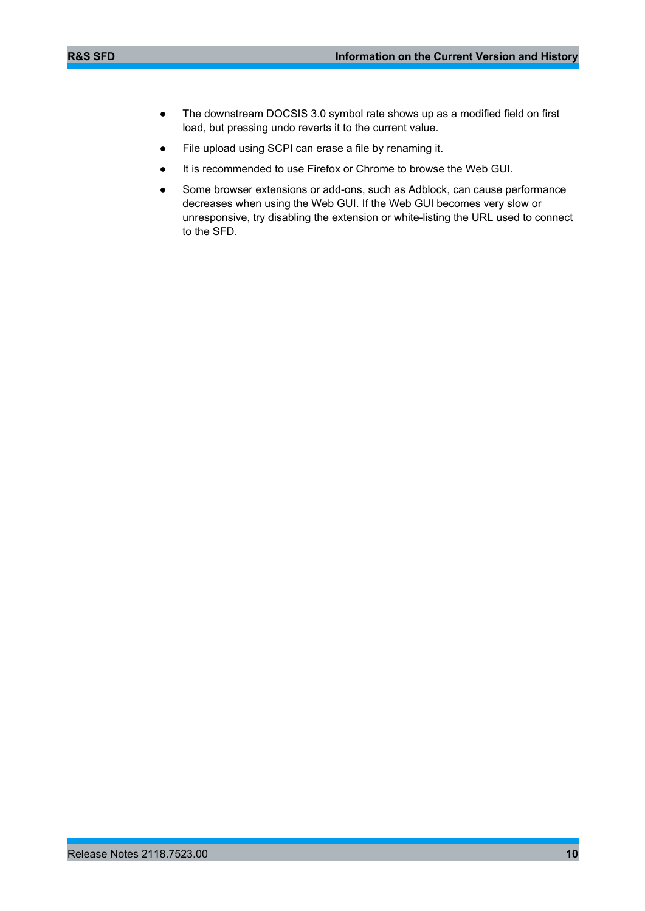- The downstream DOCSIS 3.0 symbol rate shows up as a modified field on first load, but pressing undo reverts it to the current value.
- File upload using SCPI can erase a file by renaming it.
- It is recommended to use Firefox or Chrome to browse the Web GUI.
- Some browser extensions or add-ons, such as Adblock, can cause performance decreases when using the Web GUI. If the Web GUI becomes very slow or unresponsive, try disabling the extension or white-listing the URL used to connect to the SFD.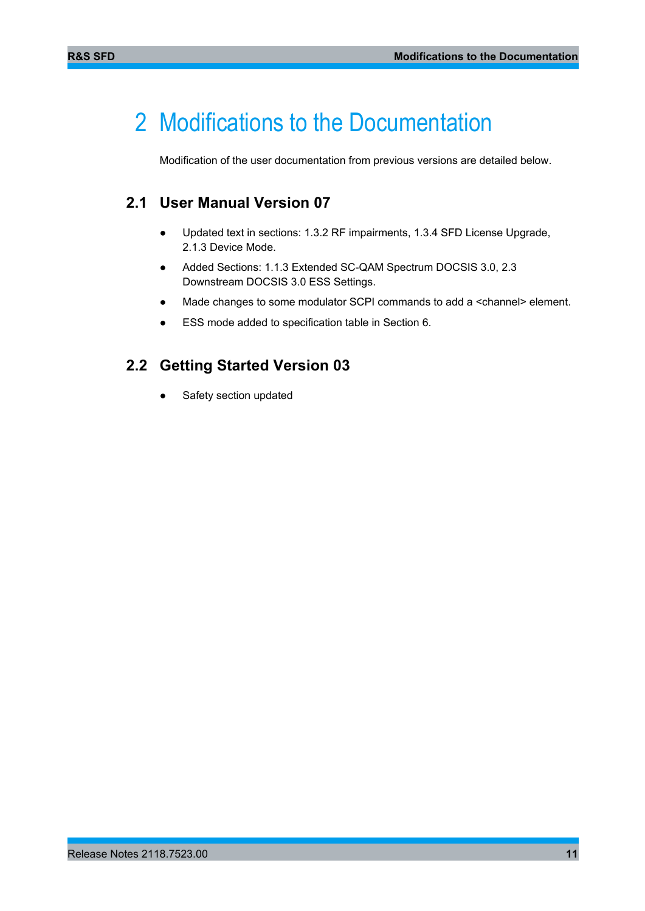## <span id="page-10-0"></span>2 Modifications to the Documentation

<span id="page-10-1"></span>Modification of the user documentation from previous versions are detailed below.

### **2.1 User Manual Version 07**

- Updated text in sections: 1.3.2 RF impairments, 1.3.4 SFD License Upgrade, 2.1.3 Device Mode.
- Added Sections: 1.1.3 Extended SC-QAM Spectrum DOCSIS 3.0, 2.3 Downstream DOCSIS 3.0 ESS Settings.
- Made changes to some modulator SCPI commands to add a <channel> element.
- <span id="page-10-2"></span>● ESS mode added to specification table in Section 6.

### **2.2 Getting Started Version 03**

Safety section updated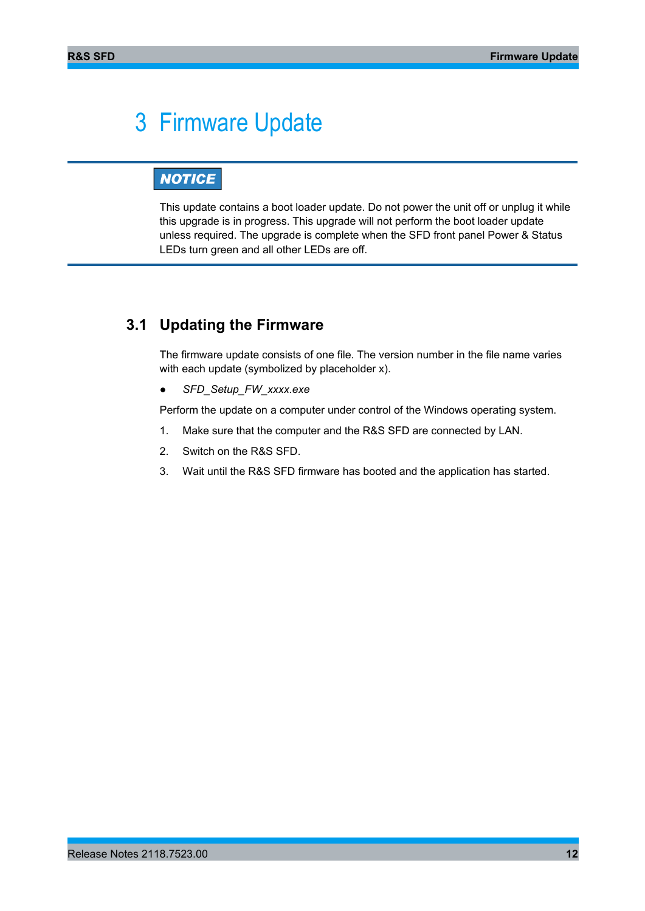## <span id="page-11-0"></span>3 Firmware Update

## **NOTICE**

This update contains a boot loader update. Do not power the unit off or unplug it while this upgrade is in progress. This upgrade will not perform the boot loader update unless required. The upgrade is complete when the SFD front panel Power & Status LEDs turn green and all other LEDs are off.

### <span id="page-11-1"></span>**3.1 Updating the Firmware**

The firmware update consists of one file. The version number in the file name varies with each update (symbolized by placeholder x).

● *SFD\_Setup\_FW\_xxxx.exe*

Perform the update on a computer under control of the Windows operating system.

- 1. Make sure that the computer and the R&S SFD are connected by LAN.
- 2. Switch on the R&S SFD.
- 3. Wait until the R&S SFD firmware has booted and the application has started.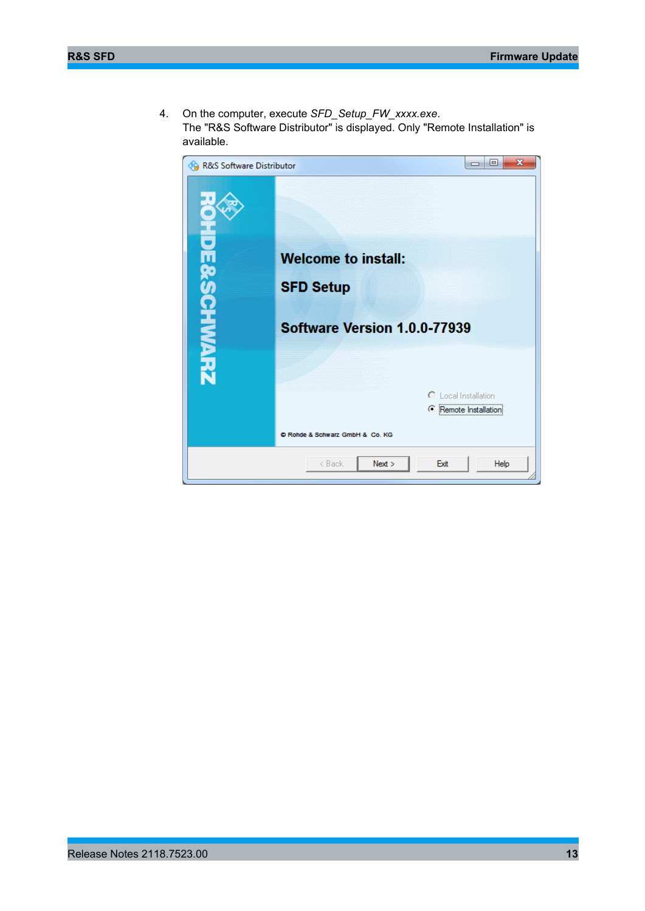4. On the computer, execute *SFD\_Setup\_FW\_xxxx.exe*. The "R&S Software Distributor" is displayed. Only "Remote Installation" is available.

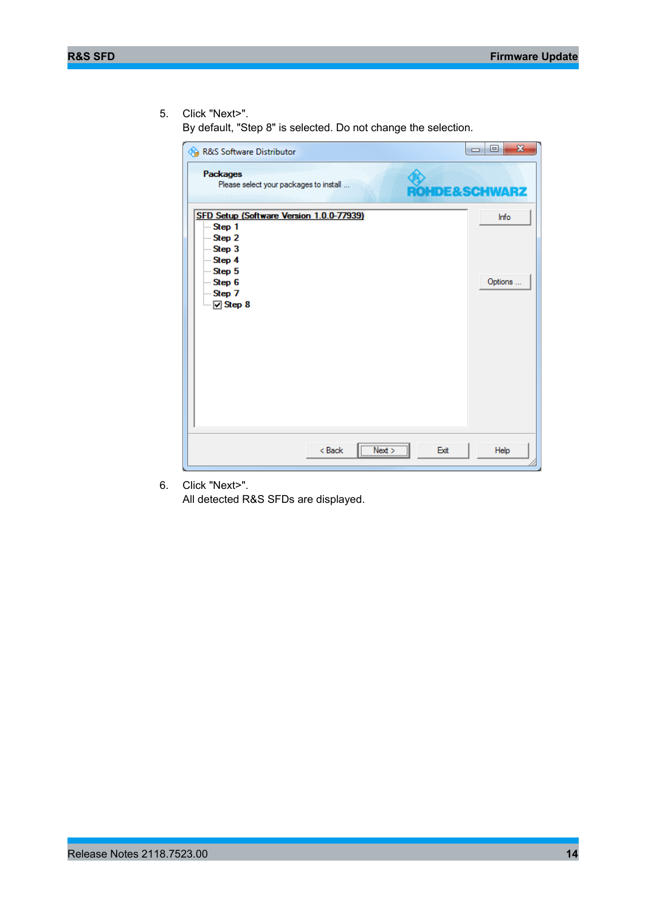5. Click "Next>".

By default, "Step 8" is selected. Do not change the selection.

| R&S Software Distributor                                                                                                                                  | $\overline{\mathbf{x}}$<br>$=$ $\Box$ |
|-----------------------------------------------------------------------------------------------------------------------------------------------------------|---------------------------------------|
| <b>Packages</b><br>Please select your packages to install                                                                                                 | <b>ROMDE&amp;SCHWARZ</b>              |
| SFD Setup (Software Version 1.0.0-77939)<br>— Step 1<br>$-$ Step 2<br>$-$ Step 3<br>$-$ Step 4<br>$-$ Step 5<br>$-$ Step 6<br>$-$ Step 7<br>$\Box$ Step 8 | <b>Info</b><br>Options                |
| ,<br>< Back<br>Next<br>$\begin{array}{c c}\n\hline\n\end{array}$                                                                                          | Exit<br>Help                          |

6. Click "Next>".

All detected R&S SFDs are displayed.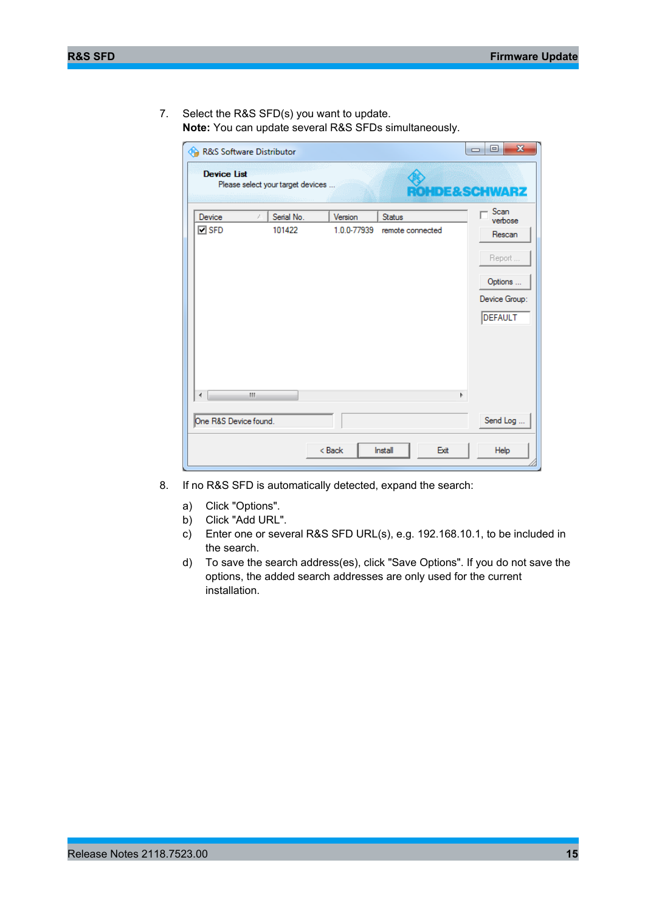7. Select the R&S SFD(s) you want to update. **Note:** You can update several R&S SFDs simultaneously.

| <b>Device List</b>      | Please select your target devices |                        |                            | <b>OHDE&amp;SCHWARZ</b>                                                                |
|-------------------------|-----------------------------------|------------------------|----------------------------|----------------------------------------------------------------------------------------|
| Device<br>$\square$ SFD | Serial No.<br>101422<br>Ш         | Version<br>1.0.0-77939 | Status<br>remote connected | Scan<br>verbose<br>Rescan<br>Report<br>Options<br>Device Group:<br><b>DEFAULT</b><br>þ |
| One R&S Device found.   |                                   |                        |                            | Send Log                                                                               |
|                         |                                   | $Back$                 | Install                    | Exit<br>Help                                                                           |

- 8. If no R&S SFD is automatically detected, expand the search:
	- a) Click "Options".
	- b) Click "Add URL".
	- c) Enter one or several R&S SFD URL(s), e.g. 192.168.10.1, to be included in the search.
	- d) To save the search address(es), click "Save Options". If you do not save the options, the added search addresses are only used for the current installation.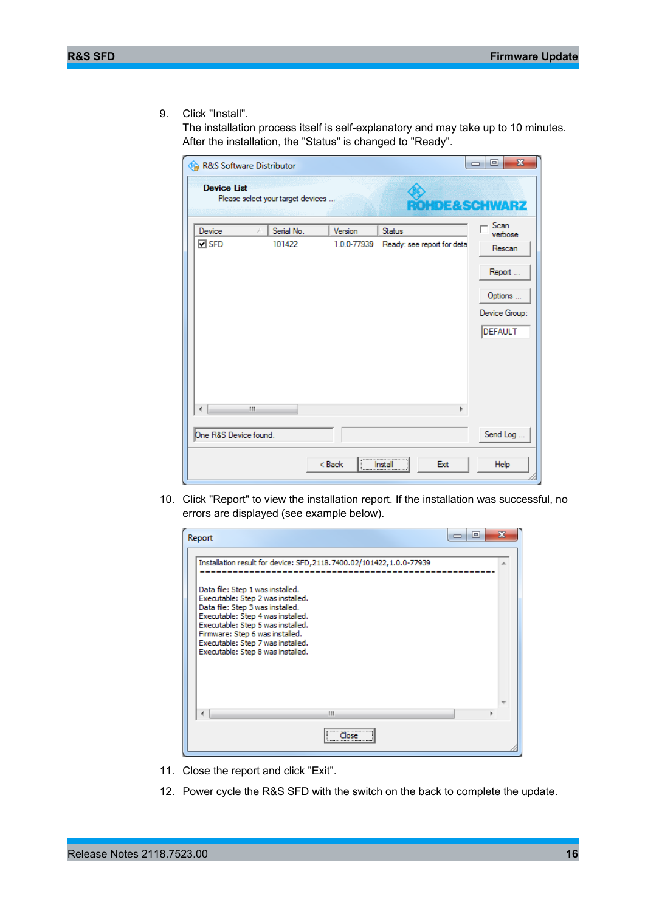9. Click "Install".

The installation process itself is self-explanatory and may take up to 10 minutes. After the installation, the "Status" is changed to "Ready".

| R&S Software Distributor |    |                                   |             |                                  | $\mathbf{x}$<br>▣<br>$\equiv$ |
|--------------------------|----|-----------------------------------|-------------|----------------------------------|-------------------------------|
| <b>Device List</b>       |    | Please select your target devices |             | <b>ROMDE&amp;SCHWARZ</b>         |                               |
| Device                   | z. | Serial No.                        | Version     | Status                           | Scan<br>verbose               |
| $\square$ SFD            |    | 101422                            | 1.0.0-77939 | Ready: see report for deta       | Rescan                        |
|                          |    |                                   |             |                                  | Report                        |
|                          |    |                                   |             |                                  | Options                       |
|                          |    |                                   |             |                                  | Device Group:                 |
|                          |    |                                   |             |                                  | <b>DEFAULT</b>                |
|                          |    |                                   |             |                                  |                               |
|                          | m. |                                   |             | Þ                                |                               |
| One R&S Device found.    |    |                                   |             |                                  | Send Log                      |
|                          |    |                                   | $Back$      | Exit<br>Install<br>$\frac{1}{2}$ | Help                          |

10. Click "Report" to view the installation report. If the installation was successful, no errors are displayed (see example below).

| Report                                                                                                                                                                                                                                                                                           | $\blacksquare$ | х |
|--------------------------------------------------------------------------------------------------------------------------------------------------------------------------------------------------------------------------------------------------------------------------------------------------|----------------|---|
| Installation result for device: SFD, 2118.7400.02/101422, 1.0.0-77939                                                                                                                                                                                                                            |                |   |
| Data file: Step 1 was installed.<br>Executable: Step 2 was installed.<br>Data file: Step 3 was installed.<br>Executable: Step 4 was installed.<br>Executable: Step 5 was installed.<br>Firmware: Step 6 was installed.<br>Executable: Step 7 was installed.<br>Executable: Step 8 was installed. |                |   |
| ш                                                                                                                                                                                                                                                                                                |                |   |
|                                                                                                                                                                                                                                                                                                  |                |   |

- 11. Close the report and click "Exit".
- 12. Power cycle the R&S SFD with the switch on the back to complete the update.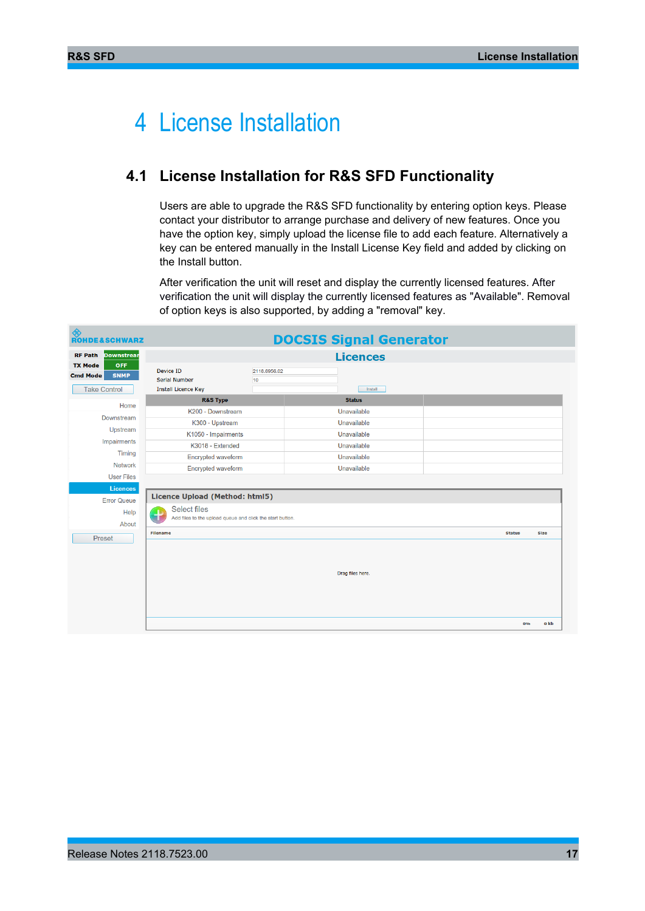## <span id="page-16-0"></span>4 License Installation

## <span id="page-16-1"></span>**4.1 License Installation for R&S SFD Functionality**

Users are able to upgrade the R&S SFD functionality by entering option keys. Please contact your distributor to arrange purchase and delivery of new features. Once you have the option key, simply upload the license file to add each feature. Alternatively a key can be entered manually in the Install License Key field and added by clicking on the Install button.

After verification the unit will reset and display the currently licensed features. After verification the unit will display the currently licensed features as "Available". Removal of option keys is also supported, by adding a "removal" key.

| ◈<br><b>ROHDE&amp;SCHWARZ</b>                                  |                                                                                       |                    | <b>DOCSIS Signal Generator</b> |               |             |  |
|----------------------------------------------------------------|---------------------------------------------------------------------------------------|--------------------|--------------------------------|---------------|-------------|--|
| <b>RF Path</b><br><b>Downstrear</b>                            |                                                                                       |                    | <b>Licences</b>                |               |             |  |
| <b>TX Mode</b><br><b>OFF</b><br><b>Cmd Mode</b><br><b>SNMP</b> | <b>Device ID</b><br><b>Serial Number</b>                                              | 2118.6956.02<br>10 |                                |               |             |  |
| <b>Take Control</b>                                            | <b>Install Licence Key</b>                                                            |                    | Install                        |               |             |  |
| Home                                                           | <b>R&amp;S Type</b>                                                                   |                    | <b>Status</b>                  |               |             |  |
| Downstream                                                     | K200 - Downstream                                                                     |                    | Unavailable                    |               |             |  |
|                                                                | K300 - Upstream                                                                       |                    | Unavailable                    |               |             |  |
| Upstream                                                       | K1050 - Impairments                                                                   |                    | Unavailable                    |               |             |  |
| Impairments                                                    | K3018 - Extended                                                                      |                    | Unavailable                    |               |             |  |
| <b>Timing</b>                                                  | Encrypted waveform                                                                    |                    | Unavailable                    |               |             |  |
| <b>Network</b>                                                 | Encrypted waveform                                                                    |                    | Unavailable                    |               |             |  |
| <b>User Files</b>                                              |                                                                                       |                    |                                |               |             |  |
| Licences                                                       | Licence Upload (Method: html5)                                                        |                    |                                |               |             |  |
| <b>Error Queue</b>                                             |                                                                                       |                    |                                |               |             |  |
| Help<br>About                                                  | <b>Select files</b><br>÷<br>Add files to the upload queue and click the start button. |                    |                                |               |             |  |
| Preset                                                         | <b>Filename</b>                                                                       |                    |                                | <b>Status</b> | <b>Size</b> |  |
|                                                                |                                                                                       |                    | Drag files here.               |               |             |  |
|                                                                |                                                                                       |                    |                                |               | o kb<br>0%  |  |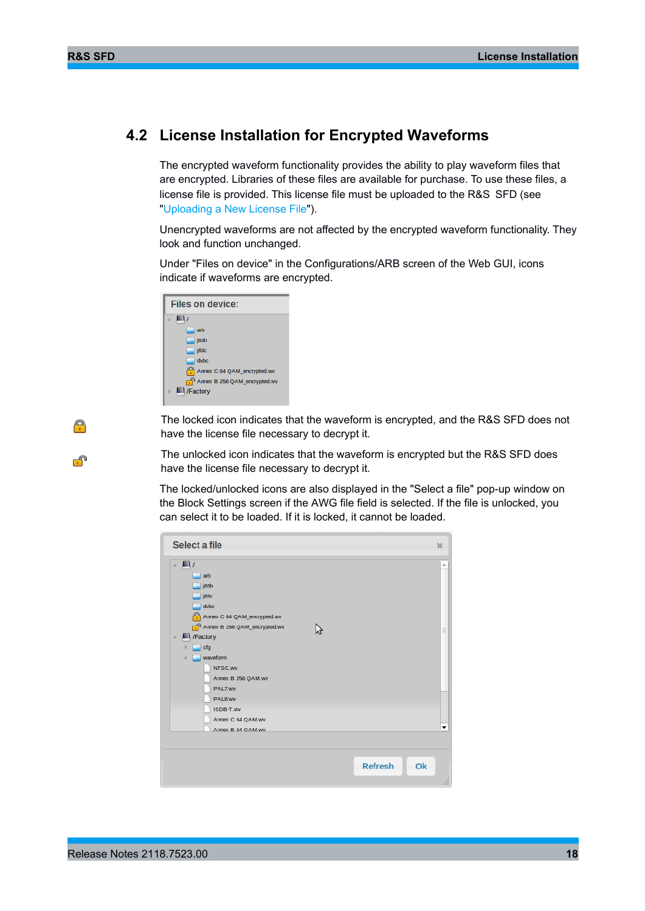Α

F

### <span id="page-17-0"></span>**4.2 License Installation for Encrypted Waveforms**

The encrypted waveform functionality provides the ability to play waveform files that are encrypted. Libraries of these files are available for purchase. To use these files, a license file is provided. This license file must be uploaded to the R&S SFD (see ["Uploading a New License File"](#page-18-0)).

Unencrypted waveforms are not affected by the encrypted waveform functionality. They look and function unchanged.

Under "Files on device" in the Configurations/ARB screen of the Web GUI, icons indicate if waveforms are encrypted.

| Files on device:                    |
|-------------------------------------|
| A.                                  |
| arb                                 |
| j83b                                |
| j83c                                |
| $d$ vbc                             |
| Annex C 64 QAM_encrypted.wv         |
| $\Box$ Annex B 256 QAM encrypted.wv |
| /Factory                            |
|                                     |

The locked icon indicates that the waveform is encrypted, and the R&S SFD does not have the license file necessary to decrypt it.

The unlocked icon indicates that the waveform is encrypted but the R&S SFD does have the license file necessary to decrypt it.

The locked/unlocked icons are also displayed in the "Select a file" pop-up window on the Block Settings screen if the AWG file field is selected. If the file is unlocked, you can select it to be loaded. If it is locked, it cannot be loaded.

| Select a file                                                                                                                                                                                                                                                                                      |                | $\infty$ |
|----------------------------------------------------------------------------------------------------------------------------------------------------------------------------------------------------------------------------------------------------------------------------------------------------|----------------|----------|
| $\blacksquare$<br>$\boldsymbol{A}$<br>arb<br>j83b<br>j83c<br>dvbc<br>Annex C 64 QAM_encrypted.wv<br>Annex B 256 QAM_encrypted.wv<br>Factory<br>$\mathcal{A}$<br>cfg<br>waveform<br>A<br>NTSC.WV<br>Annex B 256 QAM.wv<br>PAL7.wv<br>PAL8.wv<br>ISDB-T.wv<br>Annex C 64 QAM.wv<br>Annex B 64 OAM.wv |                | Ξ<br>▼   |
|                                                                                                                                                                                                                                                                                                    | <b>Refresh</b> | Ok       |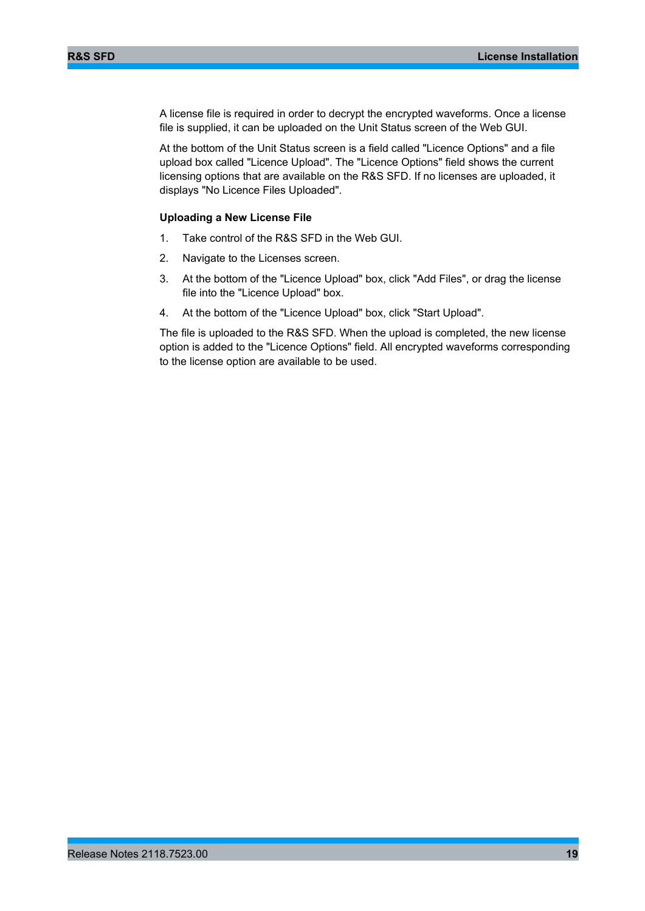A license file is required in order to decrypt the encrypted waveforms. Once a license file is supplied, it can be uploaded on the Unit Status screen of the Web GUI.

At the bottom of the Unit Status screen is a field called "Licence Options" and a file upload box called "Licence Upload". The "Licence Options" field shows the current licensing options that are available on the R&S SFD. If no licenses are uploaded, it displays "No Licence Files Uploaded".

#### <span id="page-18-0"></span>**Uploading a New License File**

- 1. Take control of the R&S SFD in the Web GUI.
- 2. Navigate to the Licenses screen.
- 3. At the bottom of the "Licence Upload" box, click "Add Files", or drag the license file into the "Licence Upload" box.
- 4. At the bottom of the "Licence Upload" box, click "Start Upload".

The file is uploaded to the R&S SFD. When the upload is completed, the new license option is added to the "Licence Options" field. All encrypted waveforms corresponding to the license option are available to be used.